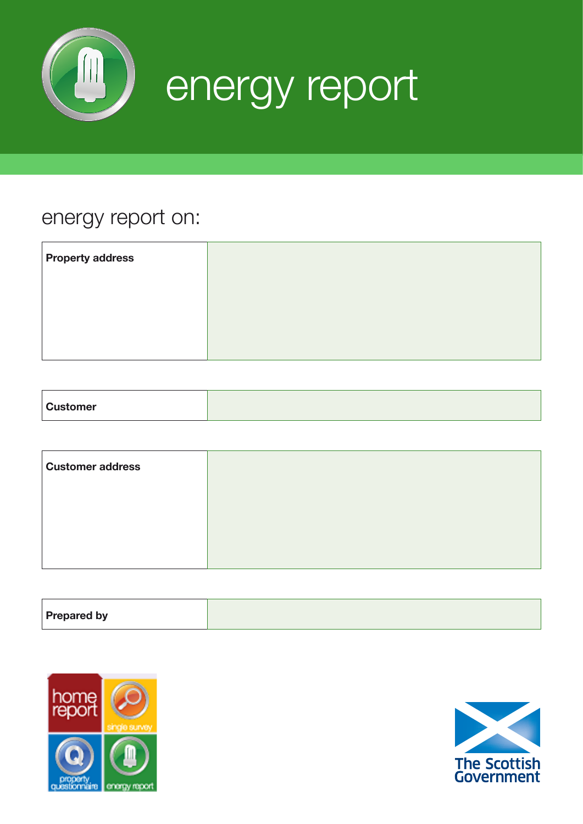

# energy report

## energy report on:

| <b>Property address</b> |  |
|-------------------------|--|
|                         |  |
|                         |  |
|                         |  |

| <b>Customer</b> |  |
|-----------------|--|
|                 |  |

| <b>Customer address</b> |  |
|-------------------------|--|
|                         |  |
|                         |  |
|                         |  |

| <b>Prepared by</b> |  |
|--------------------|--|
|                    |  |



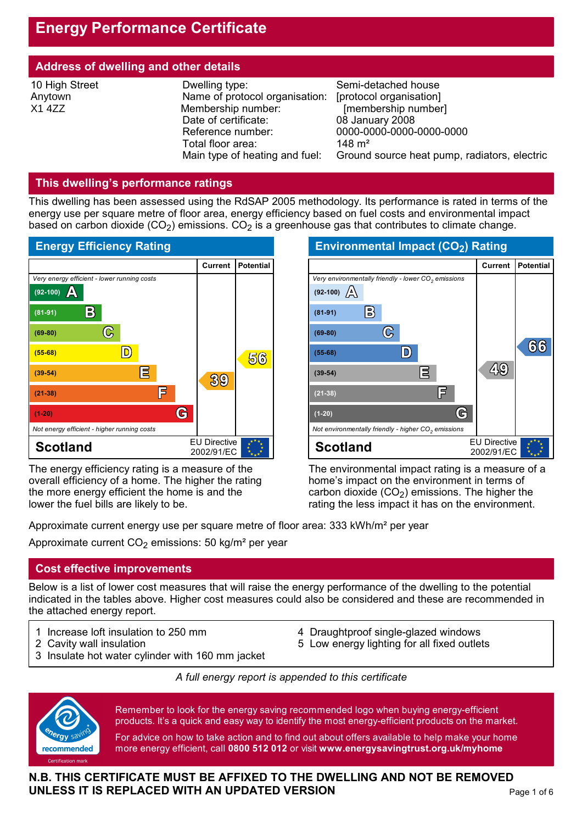## **Energy Performance Certificate**

#### **Address of dwelling and other details**

| <b>LIGTUY FUTULITIQUE UCLITICATE</b>  |                                                                                                                                                                            |                                                                                                                                                                                           |  |  |
|---------------------------------------|----------------------------------------------------------------------------------------------------------------------------------------------------------------------------|-------------------------------------------------------------------------------------------------------------------------------------------------------------------------------------------|--|--|
| Address of dwelling and other details |                                                                                                                                                                            |                                                                                                                                                                                           |  |  |
| 10 High Street<br>Anytown<br>X1 4ZZ   | Dwelling type:<br>Name of protocol organisation:<br>Membership number:<br>Date of certificate:<br>Reference number:<br>Total floor area:<br>Main type of heating and fuel: | Semi-detached house<br>[protocol organisation]<br>[membership number]<br>08 January 2008<br>0000-0000-0000-0000-0000<br>$148 \text{ m}^2$<br>Ground source heat pump, radiators, electric |  |  |

#### **This dwelling's performance ratings**

This dwelling has been assessed using the RdSAP 2005 methodology. Its performance is rated in terms of the energy use per square metre of floor area, energy efficiency based on fuel costs and environmental impact based on carbon dioxide (CO<sub>2</sub>) emissions. CO<sub>2</sub> is a greenhouse gas that contributes to climate change.



The energy efficiency rating is a measure of the overall efficiency of a home. The higher the rating the more energy efficient the home is and the lower the fuel bills are likely to be.

#### **Environmental Impact (CO2) Rating**



The environmental impact rating is a measure of a home's impact on the environment in terms of carbon dioxide  $(CO<sub>2</sub>)$  emissions. The higher the rating the less impact it has on the environment.

Approximate current energy use per square metre of floor area: 333 kWh/m² per year

Approximate current  $CO<sub>2</sub>$  emissions: 50 kg/m<sup>2</sup> per year

#### **Cost effective improvements**

Below is a list of lower cost measures that will raise the energy performance of the dwelling to the potential indicated in the tables above. Higher cost measures could also be considered and these are recommended in the attached energy report.

- 1 Increase loft insulation to 250 mm
- 2 Cavity wall insulation
- 4 Draughtproof single-glazed windows
- 5 Low energy lighting for all fixed outlets
- 3 Insulate hot water cylinder with 160 mm jacket
	- *A full energy report is appended to this certificate*



Remember to look for the energy saving recommended logo when buying energy-efficient products. It's a quick and easy way to identify the most energy-efficient products on the market.

For advice on how to take action and to find out about offers available to help make your home more energy efficient, call **0800 512 012** or visit **www.energysavingtrust.org.uk/myhome**

**N.B. THIS CERTIFICATE MUST BE AFFIXED TO THE DWELLING AND NOT BE REMOVED UNLESS IT IS REPLACED WITH AN UPDATED VERSION** Page 1 of 6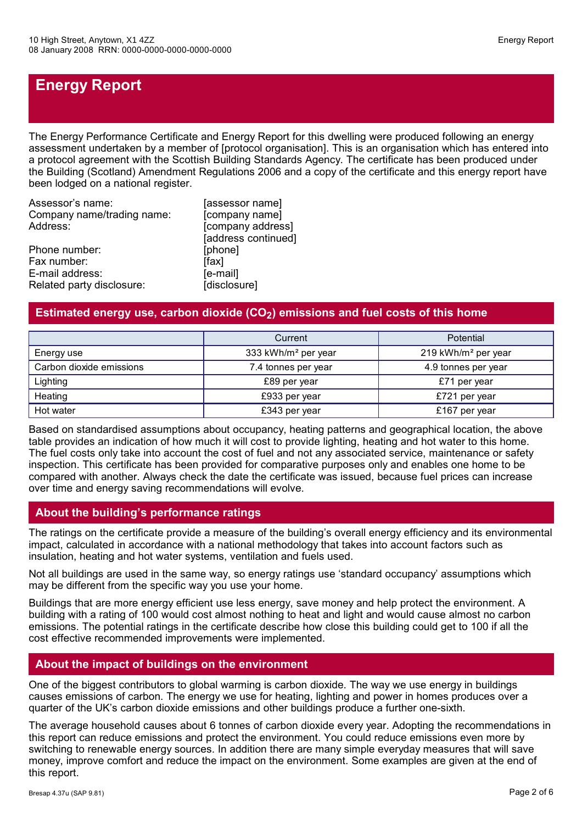### **Energy Report**

The Energy Performance Certificate and Energy Report for this dwelling were produced following an energy assessment undertaken by a member of [protocol organisation]. This is an organisation which has entered into a protocol agreement with the Scottish Building Standards Agency. The certificate has been produced under the Building (Scotland) Amendment Regulations 2006 and a copy of the certificate and this energy report have been lodged on a national register.

| Assessor's name:           | [assessor name]     |
|----------------------------|---------------------|
| Company name/trading name: | [company name]      |
| Address:                   | [company address]   |
|                            | [address continued] |
| Phone number:              | [phone]             |
| Fax number:                | [ <i>f</i> ax]      |
| E-mail address:            | [e-mail]            |
| Related party disclosure:  | [disclosure]        |

#### **Estimated energy use, carbon dioxide (CO2) emissions and fuel costs of this home**

|                          | Current                         | <b>Potential</b>                |
|--------------------------|---------------------------------|---------------------------------|
| Energy use               | 333 kWh/m <sup>2</sup> per year | 219 kWh/m <sup>2</sup> per year |
| Carbon dioxide emissions | 7.4 tonnes per year             | 4.9 tonnes per year             |
| Lighting                 | £89 per year                    | £71 per year                    |
| Heating                  | £933 per year                   | £721 per year                   |
| Hot water                | £343 per year                   | £167 per year                   |

Based on standardised assumptions about occupancy, heating patterns and geographical location, the above table provides an indication of how much it will cost to provide lighting, heating and hot water to this home. The fuel costs only take into account the cost of fuel and not any associated service, maintenance or safety inspection. This certificate has been provided for comparative purposes only and enables one home to be compared with another. Always check the date the certificate was issued, because fuel prices can increase over time and energy saving recommendations will evolve.

#### **About the building's performance ratings**

The ratings on the certificate provide a measure of the building's overall energy efficiency and its environmental impact, calculated in accordance with a national methodology that takes into account factors such as insulation, heating and hot water systems, ventilation and fuels used.

Not all buildings are used in the same way, so energy ratings use 'standard occupancy' assumptions which may be different from the specific way you use your home.

Buildings that are more energy efficient use less energy, save money and help protect the environment. A building with a rating of 100 would cost almost nothing to heat and light and would cause almost no carbon emissions. The potential ratings in the certificate describe how close this building could get to 100 if all the cost effective recommended improvements were implemented.

#### **About the impact of buildings on the environment**

One of the biggest contributors to global warming is carbon dioxide. The way we use energy in buildings causes emissions of carbon. The energy we use for heating, lighting and power in homes produces over a quarter of the UK's carbon dioxide emissions and other buildings produce a further one-sixth.

The average household causes about 6 tonnes of carbon dioxide every year. Adopting the recommendations in this report can reduce emissions and protect the environment. You could reduce emissions even more by switching to renewable energy sources. In addition there are many simple everyday measures that will save money, improve comfort and reduce the impact on the environment. Some examples are given at the end of this report.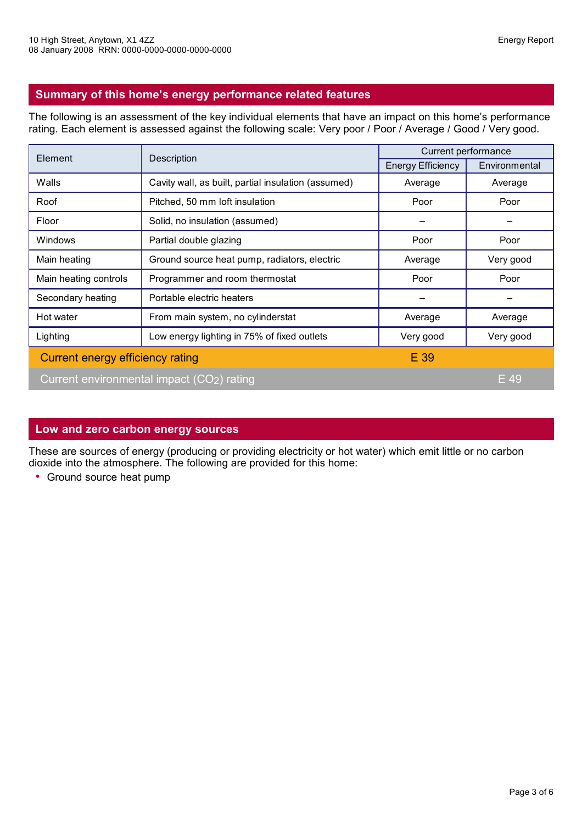#### **Summary of this home's energy performance related features**

The following is an assessment of the key individual elements that have an impact on this home's performance rating. Each element is assessed against the following scale: Very poor / Poor / Average / Good / Very good.

| Element                                                |                                                     | Current performance |               |
|--------------------------------------------------------|-----------------------------------------------------|---------------------|---------------|
|                                                        | Description                                         |                     | Environmental |
| Walls                                                  | Cavity wall, as built, partial insulation (assumed) | Average             | Average       |
| Roof                                                   | Pitched, 50 mm loft insulation                      | Poor                | Poor          |
| Floor                                                  | Solid, no insulation (assumed)                      |                     |               |
| Windows                                                | Partial double glazing                              | Poor                | Poor          |
| Main heating                                           | Ground source heat pump, radiators, electric        | Average             | Very good     |
| Main heating controls                                  | Programmer and room thermostat                      | Poor                | Poor          |
| Secondary heating                                      | Portable electric heaters                           |                     |               |
| Hot water                                              | From main system, no cylinderstat                   | Average             | Average       |
| Lighting                                               | Low energy lighting in 75% of fixed outlets         | Very good           | Very good     |
| Current energy efficiency rating                       |                                                     | E 39                |               |
| Current environmental impact (CO <sub>2</sub> ) rating |                                                     |                     | E 49          |

#### **Low and zero carbon energy sources**

These are sources of energy (producing or providing electricity or hot water) which emit little or no carbon dioxide into the atmosphere. The following are provided for this home:

• Ground source heat pump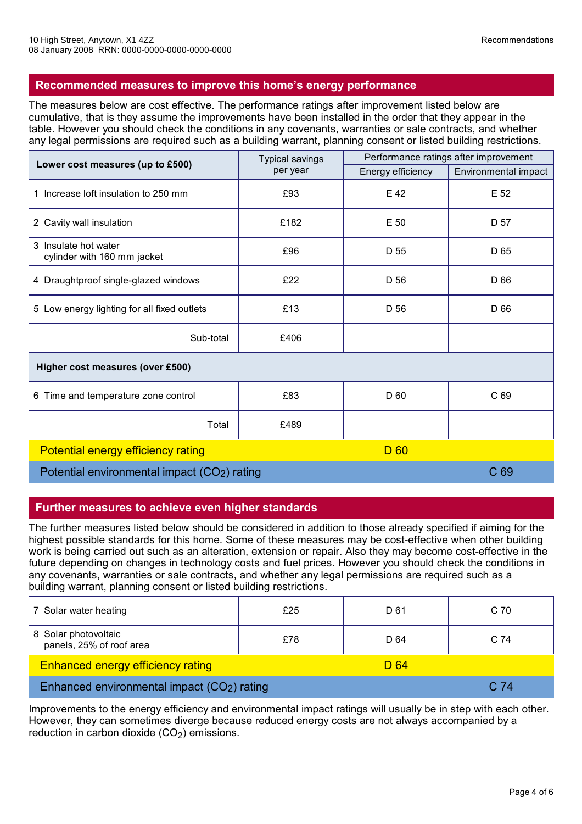#### **Recommended measures to improve this home's energy performance**

The measures below are cost effective. The performance ratings after improvement listed below are cumulative, that is they assume the improvements have been installed in the order that they appear in the table. However you should check the conditions in any covenants, warranties or sale contracts, and whether any legal permissions are required such as a building warrant, planning consent or listed building restrictions.

|                                                          | <b>Typical savings</b><br>per year | Performance ratings after improvement |                      |  |
|----------------------------------------------------------|------------------------------------|---------------------------------------|----------------------|--|
| Lower cost measures (up to £500)                         |                                    | Energy efficiency                     | Environmental impact |  |
| 1 Increase loft insulation to 250 mm                     | £93                                | E 42                                  | E 52                 |  |
| 2 Cavity wall insulation                                 | £182                               | E 50                                  | D 57                 |  |
| 3 Insulate hot water<br>cylinder with 160 mm jacket      | £96                                | D 55                                  | D 65                 |  |
| 4 Draughtproof single-glazed windows                     | £22                                | D 56                                  | D 66                 |  |
| 5 Low energy lighting for all fixed outlets              | £13                                | D 56                                  | D 66                 |  |
| Sub-total                                                | £406                               |                                       |                      |  |
| Higher cost measures (over £500)                         |                                    |                                       |                      |  |
| Time and temperature zone control<br>6                   | £83                                | D 60                                  | C 69                 |  |
| Total                                                    | £489                               |                                       |                      |  |
| Potential energy efficiency rating                       |                                    | D 60                                  |                      |  |
| Potential environmental impact (CO <sub>2</sub> ) rating |                                    |                                       | C 69                 |  |

#### **Further measures to achieve even higher standards**

The further measures listed below should be considered in addition to those already specified if aiming for the highest possible standards for this home. Some of these measures may be cost-effective when other building work is being carried out such as an alteration, extension or repair. Also they may become cost-effective in the future depending on changes in technology costs and fuel prices. However you should check the conditions in any covenants, warranties or sale contracts, and whether any legal permissions are required such as a building warrant, planning consent or listed building restrictions.

| 7 Solar water heating                                   | £25 | D 61 | C 70 |
|---------------------------------------------------------|-----|------|------|
| 8 Solar photovoltaic<br>panels, 25% of roof area        | £78 | D 64 | C 74 |
| <b>Enhanced energy efficiency rating</b><br>D 64        |     |      |      |
| Enhanced environmental impact (CO <sub>2</sub> ) rating |     |      | C 74 |

Improvements to the energy efficiency and environmental impact ratings will usually be in step with each other. However, they can sometimes diverge because reduced energy costs are not always accompanied by a reduction in carbon dioxide  $(CO<sub>2</sub>)$  emissions.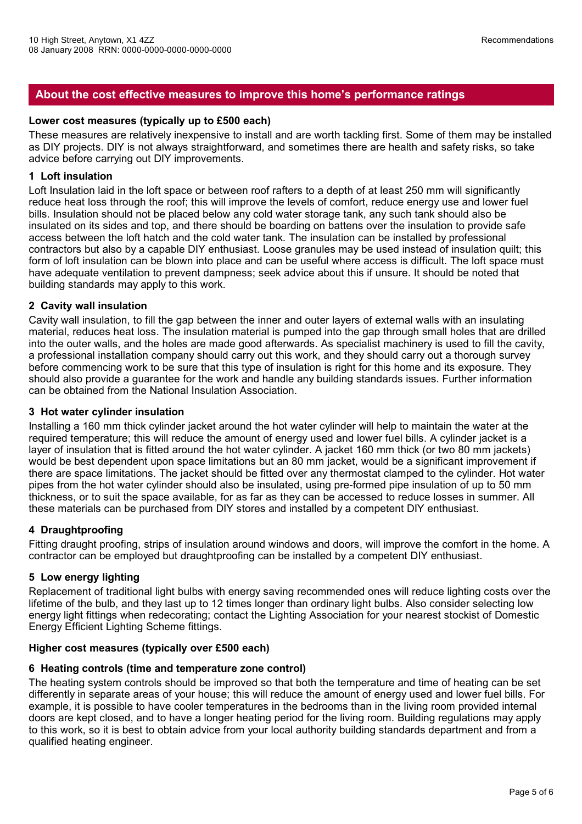#### **About the cost effective measures to improve this home's performance ratings**

#### **Lower cost measures (typically up to £500 each)**

These measures are relatively inexpensive to install and are worth tackling first. Some of them may be installed as DIY projects. DIY is not always straightforward, and sometimes there are health and safety risks, so take advice before carrying out DIY improvements.

#### **1 Loft insulation**

Loft Insulation laid in the loft space or between roof rafters to a depth of at least 250 mm will significantly reduce heat loss through the roof; this will improve the levels of comfort, reduce energy use and lower fuel bills. Insulation should not be placed below any cold water storage tank, any such tank should also be insulated on its sides and top, and there should be boarding on battens over the insulation to provide safe access between the loft hatch and the cold water tank. The insulation can be installed by professional contractors but also by a capable DIY enthusiast. Loose granules may be used instead of insulation quilt; this form of loft insulation can be blown into place and can be useful where access is difficult. The loft space must have adequate ventilation to prevent dampness; seek advice about this if unsure. It should be noted that building standards may apply to this work.

#### **2 Cavity wall insulation**

Cavity wall insulation, to fill the gap between the inner and outer layers of external walls with an insulating material, reduces heat loss. The insulation material is pumped into the gap through small holes that are drilled into the outer walls, and the holes are made good afterwards. As specialist machinery is used to fill the cavity, a professional installation company should carry out this work, and they should carry out a thorough survey before commencing work to be sure that this type of insulation is right for this home and its exposure. They should also provide a guarantee for the work and handle any building standards issues. Further information can be obtained from the National Insulation Association.

#### **3 Hot water cylinder insulation**

Installing a 160 mm thick cylinder jacket around the hot water cylinder will help to maintain the water at the required temperature; this will reduce the amount of energy used and lower fuel bills. A cylinder jacket is a layer of insulation that is fitted around the hot water cylinder. A jacket 160 mm thick (or two 80 mm jackets) would be best dependent upon space limitations but an 80 mm jacket, would be a significant improvement if there are space limitations. The jacket should be fitted over any thermostat clamped to the cylinder. Hot water pipes from the hot water cylinder should also be insulated, using pre-formed pipe insulation of up to 50 mm thickness, or to suit the space available, for as far as they can be accessed to reduce losses in summer. All these materials can be purchased from DIY stores and installed by a competent DIY enthusiast.

#### **4 Draughtproofing**

Fitting draught proofing, strips of insulation around windows and doors, will improve the comfort in the home. A contractor can be employed but draughtproofing can be installed by a competent DIY enthusiast.

#### **5 Low energy lighting**

Replacement of traditional light bulbs with energy saving recommended ones will reduce lighting costs over the lifetime of the bulb, and they last up to 12 times longer than ordinary light bulbs. Also consider selecting low energy light fittings when redecorating; contact the Lighting Association for your nearest stockist of Domestic Energy Efficient Lighting Scheme fittings.

#### **Higher cost measures (typically over £500 each)**

#### **6 Heating controls (time and temperature zone control)**

The heating system controls should be improved so that both the temperature and time of heating can be set differently in separate areas of your house; this will reduce the amount of energy used and lower fuel bills. For example, it is possible to have cooler temperatures in the bedrooms than in the living room provided internal doors are kept closed, and to have a longer heating period for the living room. Building regulations may apply to this work, so it is best to obtain advice from your local authority building standards department and from a qualified heating engineer.